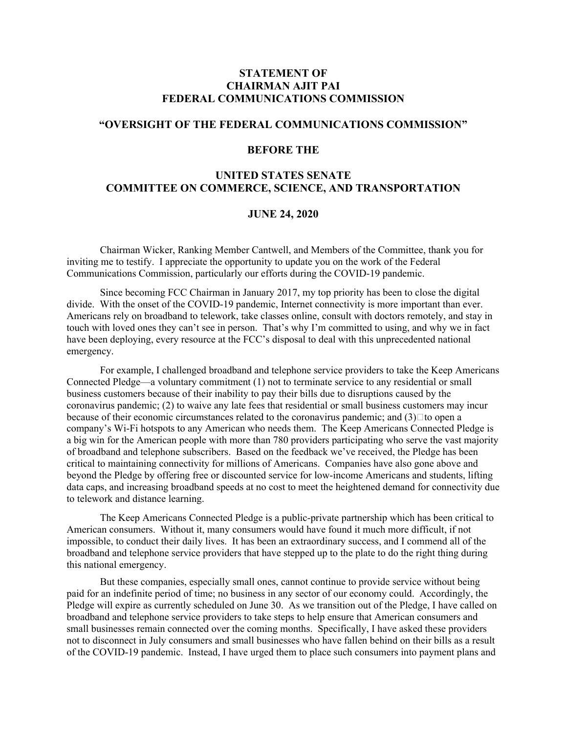# **STATEMENT OF CHAIRMAN AJIT PAI FEDERAL COMMUNICATIONS COMMISSION**

### **"OVERSIGHT OF THE FEDERAL COMMUNICATIONS COMMISSION"**

#### **BEFORE THE**

# **UNITED STATES SENATE COMMITTEE ON COMMERCE, SCIENCE, AND TRANSPORTATION**

# **JUNE 24, 2020**

Chairman Wicker, Ranking Member Cantwell, and Members of the Committee, thank you for inviting me to testify. I appreciate the opportunity to update you on the work of the Federal Communications Commission, particularly our efforts during the COVID-19 pandemic.

Since becoming FCC Chairman in January 2017, my top priority has been to close the digital divide. With the onset of the COVID-19 pandemic, Internet connectivity is more important than ever. Americans rely on broadband to telework, take classes online, consult with doctors remotely, and stay in touch with loved ones they can't see in person. That's why I'm committed to using, and why we in fact have been deploying, every resource at the FCC's disposal to deal with this unprecedented national emergency.

For example, I challenged broadband and telephone service providers to take the Keep Americans Connected Pledge—a voluntary commitment (1) not to terminate service to any residential or small business customers because of their inability to pay their bills due to disruptions caused by the coronavirus pandemic; (2) to waive any late fees that residential or small business customers may incur because of their economic circumstances related to the coronavirus pandemic; and  $(3)$   $\Box$  to open a company's Wi-Fi hotspots to any American who needs them. The Keep Americans Connected Pledge is a big win for the American people with more than 780 providers participating who serve the vast majority of broadband and telephone subscribers. Based on the feedback we've received, the Pledge has been critical to maintaining connectivity for millions of Americans. Companies have also gone above and beyond the Pledge by offering free or discounted service for low-income Americans and students, lifting data caps, and increasing broadband speeds at no cost to meet the heightened demand for connectivity due to telework and distance learning.

The Keep Americans Connected Pledge is a public-private partnership which has been critical to American consumers. Without it, many consumers would have found it much more difficult, if not impossible, to conduct their daily lives. It has been an extraordinary success, and I commend all of the broadband and telephone service providers that have stepped up to the plate to do the right thing during this national emergency.

But these companies, especially small ones, cannot continue to provide service without being paid for an indefinite period of time; no business in any sector of our economy could. Accordingly, the Pledge will expire as currently scheduled on June 30. As we transition out of the Pledge, I have called on broadband and telephone service providers to take steps to help ensure that American consumers and small businesses remain connected over the coming months. Specifically, I have asked these providers not to disconnect in July consumers and small businesses who have fallen behind on their bills as a result of the COVID-19 pandemic. Instead, I have urged them to place such consumers into payment plans and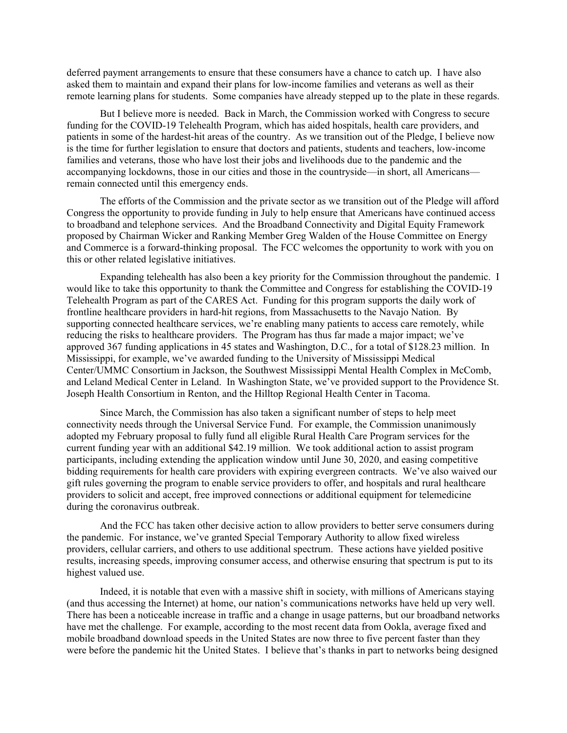deferred payment arrangements to ensure that these consumers have a chance to catch up. I have also asked them to maintain and expand their plans for low-income families and veterans as well as their remote learning plans for students. Some companies have already stepped up to the plate in these regards.

But I believe more is needed. Back in March, the Commission worked with Congress to secure funding for the COVID-19 Telehealth Program, which has aided hospitals, health care providers, and patients in some of the hardest-hit areas of the country. As we transition out of the Pledge, I believe now is the time for further legislation to ensure that doctors and patients, students and teachers, low-income families and veterans, those who have lost their jobs and livelihoods due to the pandemic and the accompanying lockdowns, those in our cities and those in the countryside—in short, all Americans remain connected until this emergency ends.

The efforts of the Commission and the private sector as we transition out of the Pledge will afford Congress the opportunity to provide funding in July to help ensure that Americans have continued access to broadband and telephone services. And the Broadband Connectivity and Digital Equity Framework proposed by Chairman Wicker and Ranking Member Greg Walden of the House Committee on Energy and Commerce is a forward-thinking proposal. The FCC welcomes the opportunity to work with you on this or other related legislative initiatives.

Expanding telehealth has also been a key priority for the Commission throughout the pandemic. I would like to take this opportunity to thank the Committee and Congress for establishing the COVID-19 Telehealth Program as part of the CARES Act. Funding for this program supports the daily work of frontline healthcare providers in hard-hit regions, from Massachusetts to the Navajo Nation. By supporting connected healthcare services, we're enabling many patients to access care remotely, while reducing the risks to healthcare providers. The Program has thus far made a major impact; we've approved 367 funding applications in 45 states and Washington, D.C., for a total of \$128.23 million. In Mississippi, for example, we've awarded funding to the University of Mississippi Medical Center/UMMC Consortium in Jackson, the Southwest Mississippi Mental Health Complex in McComb, and Leland Medical Center in Leland. In Washington State, we've provided support to the Providence St. Joseph Health Consortium in Renton, and the Hilltop Regional Health Center in Tacoma.

Since March, the Commission has also taken a significant number of steps to help meet connectivity needs through the Universal Service Fund. For example, the Commission unanimously adopted my February proposal to fully fund all eligible Rural Health Care Program services for the current funding year with an additional \$42.19 million. We took additional action to assist program participants, including extending the application window until June 30, 2020, and easing competitive bidding requirements for health care providers with expiring evergreen contracts. We've also waived our gift rules governing the program to enable service providers to offer, and hospitals and rural healthcare providers to solicit and accept, free improved connections or additional equipment for telemedicine during the coronavirus outbreak.

And the FCC has taken other decisive action to allow providers to better serve consumers during the pandemic. For instance, we've granted Special Temporary Authority to allow fixed wireless providers, cellular carriers, and others to use additional spectrum. These actions have yielded positive results, increasing speeds, improving consumer access, and otherwise ensuring that spectrum is put to its highest valued use.

Indeed, it is notable that even with a massive shift in society, with millions of Americans staying (and thus accessing the Internet) at home, our nation's communications networks have held up very well. There has been a noticeable increase in traffic and a change in usage patterns, but our broadband networks have met the challenge. For example, according to the most recent data from Ookla, average fixed and mobile broadband download speeds in the United States are now three to five percent faster than they were before the pandemic hit the United States. I believe that's thanks in part to networks being designed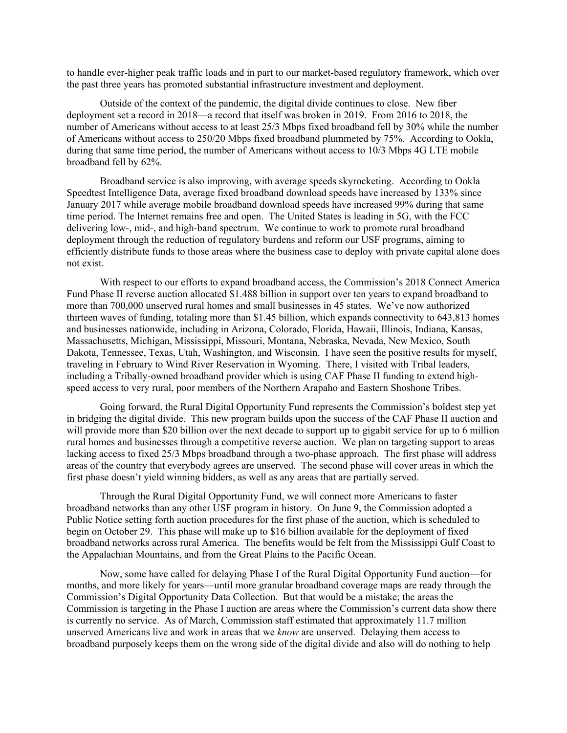to handle ever-higher peak traffic loads and in part to our market-based regulatory framework, which over the past three years has promoted substantial infrastructure investment and deployment.

Outside of the context of the pandemic, the digital divide continues to close. New fiber deployment set a record in 2018—a record that itself was broken in 2019. From 2016 to 2018, the number of Americans without access to at least 25/3 Mbps fixed broadband fell by 30% while the number of Americans without access to 250/20 Mbps fixed broadband plummeted by 75%. According to Ookla, during that same time period, the number of Americans without access to 10/3 Mbps 4G LTE mobile broadband fell by 62%.

Broadband service is also improving, with average speeds skyrocketing. According to Ookla Speedtest Intelligence Data, average fixed broadband download speeds have increased by 133% since January 2017 while average mobile broadband download speeds have increased 99% during that same time period. The Internet remains free and open. The United States is leading in 5G, with the FCC delivering low-, mid-, and high-band spectrum. We continue to work to promote rural broadband deployment through the reduction of regulatory burdens and reform our USF programs, aiming to efficiently distribute funds to those areas where the business case to deploy with private capital alone does not exist.

With respect to our efforts to expand broadband access, the Commission's 2018 Connect America Fund Phase II reverse auction allocated \$1.488 billion in support over ten years to expand broadband to more than 700,000 unserved rural homes and small businesses in 45 states. We've now authorized thirteen waves of funding, totaling more than \$1.45 billion, which expands connectivity to 643,813 homes and businesses nationwide, including in Arizona, Colorado, Florida, Hawaii, Illinois, Indiana, Kansas, Massachusetts, Michigan, Mississippi, Missouri, Montana, Nebraska, Nevada, New Mexico, South Dakota, Tennessee, Texas, Utah, Washington, and Wisconsin. I have seen the positive results for myself, traveling in February to Wind River Reservation in Wyoming. There, I visited with Tribal leaders, including a Tribally-owned broadband provider which is using CAF Phase II funding to extend highspeed access to very rural, poor members of the Northern Arapaho and Eastern Shoshone Tribes.

Going forward, the Rural Digital Opportunity Fund represents the Commission's boldest step yet in bridging the digital divide. This new program builds upon the success of the CAF Phase II auction and will provide more than \$20 billion over the next decade to support up to gigabit service for up to 6 million rural homes and businesses through a competitive reverse auction. We plan on targeting support to areas lacking access to fixed 25/3 Mbps broadband through a two-phase approach. The first phase will address areas of the country that everybody agrees are unserved. The second phase will cover areas in which the first phase doesn't yield winning bidders, as well as any areas that are partially served.

Through the Rural Digital Opportunity Fund, we will connect more Americans to faster broadband networks than any other USF program in history. On June 9, the Commission adopted a Public Notice setting forth auction procedures for the first phase of the auction, which is scheduled to begin on October 29. This phase will make up to \$16 billion available for the deployment of fixed broadband networks across rural America. The benefits would be felt from the Mississippi Gulf Coast to the Appalachian Mountains, and from the Great Plains to the Pacific Ocean.

Now, some have called for delaying Phase I of the Rural Digital Opportunity Fund auction—for months, and more likely for years—until more granular broadband coverage maps are ready through the Commission's Digital Opportunity Data Collection. But that would be a mistake; the areas the Commission is targeting in the Phase I auction are areas where the Commission's current data show there is currently no service. As of March, Commission staff estimated that approximately 11.7 million unserved Americans live and work in areas that we *know* are unserved. Delaying them access to broadband purposely keeps them on the wrong side of the digital divide and also will do nothing to help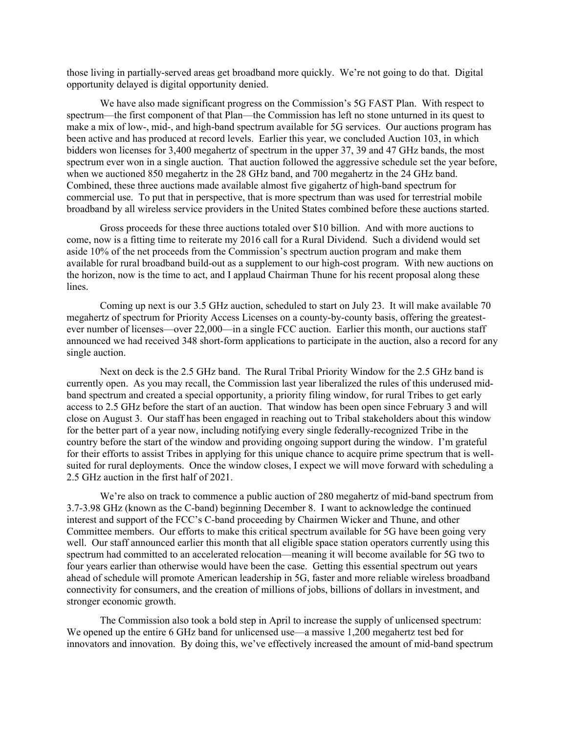those living in partially-served areas get broadband more quickly. We're not going to do that. Digital opportunity delayed is digital opportunity denied.

We have also made significant progress on the Commission's 5G FAST Plan. With respect to spectrum—the first component of that Plan—the Commission has left no stone unturned in its quest to make a mix of low-, mid-, and high-band spectrum available for 5G services. Our auctions program has been active and has produced at record levels. Earlier this year, we concluded Auction 103, in which bidders won licenses for 3,400 megahertz of spectrum in the upper 37, 39 and 47 GHz bands, the most spectrum ever won in a single auction. That auction followed the aggressive schedule set the year before, when we auctioned 850 megahertz in the 28 GHz band, and 700 megahertz in the 24 GHz band. Combined, these three auctions made available almost five gigahertz of high-band spectrum for commercial use. To put that in perspective, that is more spectrum than was used for terrestrial mobile broadband by all wireless service providers in the United States combined before these auctions started.

Gross proceeds for these three auctions totaled over \$10 billion. And with more auctions to come, now is a fitting time to reiterate my 2016 call for a Rural Dividend. Such a dividend would set aside 10% of the net proceeds from the Commission's spectrum auction program and make them available for rural broadband build-out as a supplement to our high-cost program. With new auctions on the horizon, now is the time to act, and I applaud Chairman Thune for his recent proposal along these lines.

Coming up next is our 3.5 GHz auction, scheduled to start on July 23. It will make available 70 megahertz of spectrum for Priority Access Licenses on a county-by-county basis, offering the greatestever number of licenses—over 22,000—in a single FCC auction. Earlier this month, our auctions staff announced we had received 348 short-form applications to participate in the auction, also a record for any single auction.

Next on deck is the 2.5 GHz band. The Rural Tribal Priority Window for the 2.5 GHz band is currently open. As you may recall, the Commission last year liberalized the rules of this underused midband spectrum and created a special opportunity, a priority filing window, for rural Tribes to get early access to 2.5 GHz before the start of an auction. That window has been open since February 3 and will close on August 3. Our staff has been engaged in reaching out to Tribal stakeholders about this window for the better part of a year now, including notifying every single federally-recognized Tribe in the country before the start of the window and providing ongoing support during the window. I'm grateful for their efforts to assist Tribes in applying for this unique chance to acquire prime spectrum that is wellsuited for rural deployments. Once the window closes, I expect we will move forward with scheduling a 2.5 GHz auction in the first half of 2021.

We're also on track to commence a public auction of 280 megahertz of mid-band spectrum from 3.7-3.98 GHz (known as the C-band) beginning December 8. I want to acknowledge the continued interest and support of the FCC's C-band proceeding by Chairmen Wicker and Thune, and other Committee members. Our efforts to make this critical spectrum available for 5G have been going very well. Our staff announced earlier this month that all eligible space station operators currently using this spectrum had committed to an accelerated relocation—meaning it will become available for 5G two to four years earlier than otherwise would have been the case. Getting this essential spectrum out years ahead of schedule will promote American leadership in 5G, faster and more reliable wireless broadband connectivity for consumers, and the creation of millions of jobs, billions of dollars in investment, and stronger economic growth.

The Commission also took a bold step in April to increase the supply of unlicensed spectrum: We opened up the entire 6 GHz band for unlicensed use—a massive 1.200 megahertz test bed for innovators and innovation. By doing this, we've effectively increased the amount of mid-band spectrum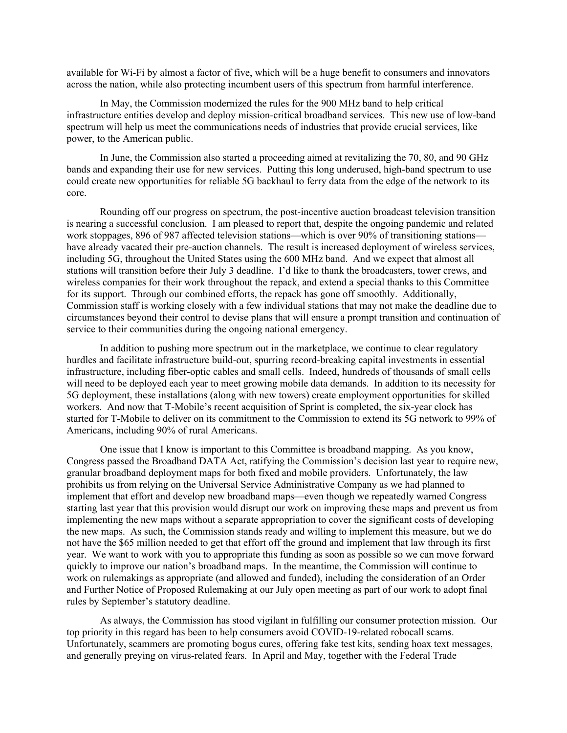available for Wi-Fi by almost a factor of five, which will be a huge benefit to consumers and innovators across the nation, while also protecting incumbent users of this spectrum from harmful interference.

In May, the Commission modernized the rules for the 900 MHz band to help critical infrastructure entities develop and deploy mission-critical broadband services. This new use of low-band spectrum will help us meet the communications needs of industries that provide crucial services, like power, to the American public.

In June, the Commission also started a proceeding aimed at revitalizing the 70, 80, and 90 GHz bands and expanding their use for new services. Putting this long underused, high-band spectrum to use could create new opportunities for reliable 5G backhaul to ferry data from the edge of the network to its core.

Rounding off our progress on spectrum, the post-incentive auction broadcast television transition is nearing a successful conclusion. I am pleased to report that, despite the ongoing pandemic and related work stoppages, 896 of 987 affected television stations—which is over 90% of transitioning stations have already vacated their pre-auction channels. The result is increased deployment of wireless services, including 5G, throughout the United States using the 600 MHz band. And we expect that almost all stations will transition before their July 3 deadline. I'd like to thank the broadcasters, tower crews, and wireless companies for their work throughout the repack, and extend a special thanks to this Committee for its support. Through our combined efforts, the repack has gone off smoothly. Additionally, Commission staff is working closely with a few individual stations that may not make the deadline due to circumstances beyond their control to devise plans that will ensure a prompt transition and continuation of service to their communities during the ongoing national emergency.

In addition to pushing more spectrum out in the marketplace, we continue to clear regulatory hurdles and facilitate infrastructure build-out, spurring record-breaking capital investments in essential infrastructure, including fiber-optic cables and small cells. Indeed, hundreds of thousands of small cells will need to be deployed each year to meet growing mobile data demands. In addition to its necessity for 5G deployment, these installations (along with new towers) create employment opportunities for skilled workers. And now that T-Mobile's recent acquisition of Sprint is completed, the six-year clock has started for T-Mobile to deliver on its commitment to the Commission to extend its 5G network to 99% of Americans, including 90% of rural Americans.

One issue that I know is important to this Committee is broadband mapping. As you know, Congress passed the Broadband DATA Act, ratifying the Commission's decision last year to require new, granular broadband deployment maps for both fixed and mobile providers. Unfortunately, the law prohibits us from relying on the Universal Service Administrative Company as we had planned to implement that effort and develop new broadband maps—even though we repeatedly warned Congress starting last year that this provision would disrupt our work on improving these maps and prevent us from implementing the new maps without a separate appropriation to cover the significant costs of developing the new maps. As such, the Commission stands ready and willing to implement this measure, but we do not have the \$65 million needed to get that effort off the ground and implement that law through its first year. We want to work with you to appropriate this funding as soon as possible so we can move forward quickly to improve our nation's broadband maps. In the meantime, the Commission will continue to work on rulemakings as appropriate (and allowed and funded), including the consideration of an Order and Further Notice of Proposed Rulemaking at our July open meeting as part of our work to adopt final rules by September's statutory deadline.

As always, the Commission has stood vigilant in fulfilling our consumer protection mission. Our top priority in this regard has been to help consumers avoid COVID-19-related robocall scams. Unfortunately, scammers are promoting bogus cures, offering fake test kits, sending hoax text messages, and generally preying on virus-related fears. In April and May, together with the Federal Trade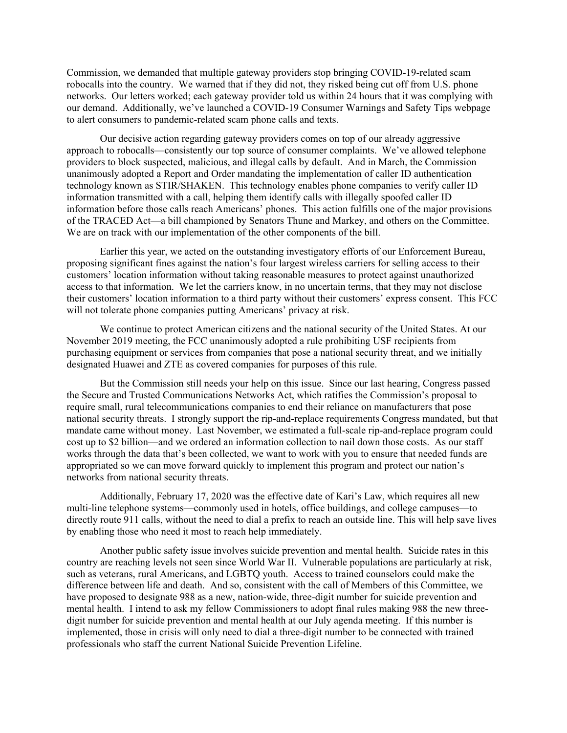Commission, we demanded that multiple gateway providers stop bringing COVID-19-related scam robocalls into the country. We warned that if they did not, they risked being cut off from U.S. phone networks. Our letters worked; each gateway provider told us within 24 hours that it was complying with our demand. Additionally, we've launched a COVID-19 Consumer Warnings and Safety Tips webpage to alert consumers to pandemic-related scam phone calls and texts.

Our decisive action regarding gateway providers comes on top of our already aggressive approach to robocalls—consistently our top source of consumer complaints. We've allowed telephone providers to block suspected, malicious, and illegal calls by default. And in March, the Commission unanimously adopted a Report and Order mandating the implementation of caller ID authentication technology known as STIR/SHAKEN. This technology enables phone companies to verify caller ID information transmitted with a call, helping them identify calls with illegally spoofed caller ID information before those calls reach Americans' phones. This action fulfills one of the major provisions of the TRACED Act—a bill championed by Senators Thune and Markey, and others on the Committee. We are on track with our implementation of the other components of the bill.

Earlier this year, we acted on the outstanding investigatory efforts of our Enforcement Bureau, proposing significant fines against the nation's four largest wireless carriers for selling access to their customers' location information without taking reasonable measures to protect against unauthorized access to that information. We let the carriers know, in no uncertain terms, that they may not disclose their customers' location information to a third party without their customers' express consent. This FCC will not tolerate phone companies putting Americans' privacy at risk.

We continue to protect American citizens and the national security of the United States. At our November 2019 meeting, the FCC unanimously adopted a rule prohibiting USF recipients from purchasing equipment or services from companies that pose a national security threat, and we initially designated Huawei and ZTE as covered companies for purposes of this rule.

But the Commission still needs your help on this issue. Since our last hearing, Congress passed the Secure and Trusted Communications Networks Act, which ratifies the Commission's proposal to require small, rural telecommunications companies to end their reliance on manufacturers that pose national security threats. I strongly support the rip-and-replace requirements Congress mandated, but that mandate came without money. Last November, we estimated a full-scale rip-and-replace program could cost up to \$2 billion—and we ordered an information collection to nail down those costs. As our staff works through the data that's been collected, we want to work with you to ensure that needed funds are appropriated so we can move forward quickly to implement this program and protect our nation's networks from national security threats.

Additionally, February 17, 2020 was the effective date of Kari's Law, which requires all new multi-line telephone systems—commonly used in hotels, office buildings, and college campuses—to directly route 911 calls, without the need to dial a prefix to reach an outside line. This will help save lives by enabling those who need it most to reach help immediately.

Another public safety issue involves suicide prevention and mental health. Suicide rates in this country are reaching levels not seen since World War II. Vulnerable populations are particularly at risk, such as veterans, rural Americans, and LGBTQ youth. Access to trained counselors could make the difference between life and death. And so, consistent with the call of Members of this Committee, we have proposed to designate 988 as a new, nation-wide, three-digit number for suicide prevention and mental health. I intend to ask my fellow Commissioners to adopt final rules making 988 the new threedigit number for suicide prevention and mental health at our July agenda meeting. If this number is implemented, those in crisis will only need to dial a three-digit number to be connected with trained professionals who staff the current National Suicide Prevention Lifeline.